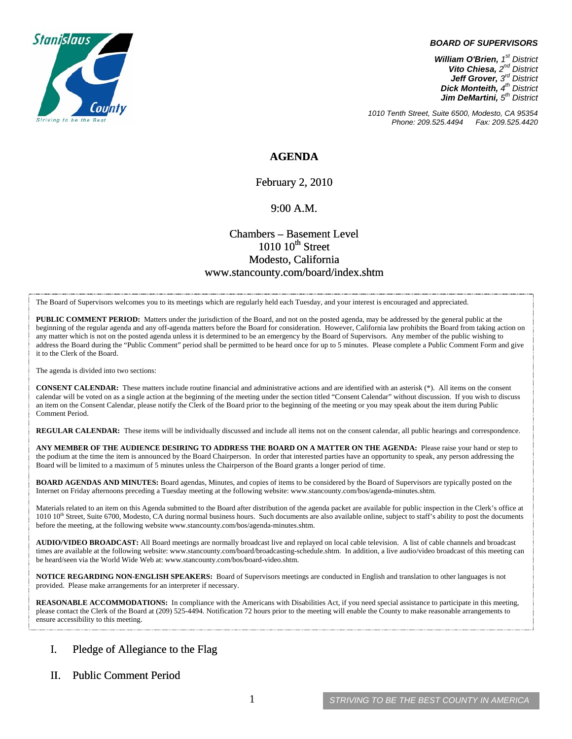

#### *BOARD OF SUPERVISORS*

*William O'Brien, 1st District Vito Chiesa, 2nd District Jeff Grover, 3rd District Dick Monteith, 4th District Jim DeMartini, 5th District*

*1010 Tenth Street, Suite 6500, Modesto, CA 95354 Phone: 209.525.4494* 

### **AGENDA**

February 2, 2010

#### 9:00 A.M.

### Chambers – Basement Level  $1010~10$ <sup>th</sup> Street Modesto, California www.stancounty.com/board/index.shtm

The Board of Supervisors welcomes you to its meetings which are regularly held each Tuesday, and your interest is encouraged and appreciated.

**PUBLIC COMMENT PERIOD:** Matters under the jurisdiction of the Board, and not on the posted agenda, may be addressed by the general public at the beginning of the regular agenda and any off-agenda matters before the Board for consideration. However, California law prohibits the Board from taking action on any matter which is not on the posted agenda unless it is determined to be an emergency by the Board of Supervisors. Any member of the public wishing to address the Board during the "Public Comment" period shall be permitted to be heard once for up to 5 minutes. Please complete a Public Comment Form and give it to the Clerk of the Board.

The agenda is divided into two sections:

**CONSENT CALENDAR:** These matters include routine financial and administrative actions and are identified with an asterisk (\*). All items on the consent calendar will be voted on as a single action at the beginning of the meeting under the section titled "Consent Calendar" without discussion. If you wish to discuss an item on the Consent Calendar, please notify the Clerk of the Board prior to the beginning of the meeting or you may speak about the item during Public Comment Period.

**REGULAR CALENDAR:** These items will be individually discussed and include all items not on the consent calendar, all public hearings and correspondence.

**ANY MEMBER OF THE AUDIENCE DESIRING TO ADDRESS THE BOARD ON A MATTER ON THE AGENDA:** Please raise your hand or step to the podium at the time the item is announced by the Board Chairperson. In order that interested parties have an opportunity to speak, any person addressing the Board will be limited to a maximum of 5 minutes unless the Chairperson of the Board grants a longer period of time.

**BOARD AGENDAS AND MINUTES:** Board agendas, Minutes, and copies of items to be considered by the Board of Supervisors are typically posted on the Internet on Friday afternoons preceding a Tuesday meeting at the following website: www.stancounty.com/bos/agenda-minutes.shtm.

Materials related to an item on this Agenda submitted to the Board after distribution of the agenda packet are available for public inspection in the Clerk's office at 1010 10<sup>th</sup> Street, Suite 6700, Modesto, CA during normal business hours. Such documents are also available online, subject to staff's ability to post the documents before the meeting, at the following website www.stancounty.com/bos/agenda-minutes.shtm.

**AUDIO/VIDEO BROADCAST:** All Board meetings are normally broadcast live and replayed on local cable television. A list of cable channels and broadcast times are available at the following website: www.stancounty.com/board/broadcasting-schedule.shtm. In addition, a live audio/video broadcast of this meeting can be heard/seen via the World Wide Web at: www.stancounty.com/bos/board-video.shtm.

**NOTICE REGARDING NON-ENGLISH SPEAKERS:** Board of Supervisors meetings are conducted in English and translation to other languages is not provided. Please make arrangements for an interpreter if necessary.

**REASONABLE ACCOMMODATIONS:** In compliance with the Americans with Disabilities Act, if you need special assistance to participate in this meeting, please contact the Clerk of the Board at (209) 525-4494. Notification 72 hours prior to the meeting will enable the County to make reasonable arrangements to ensure accessibility to this meeting.

### I. Pledge of Allegiance to the Flag

### II. Public Comment Period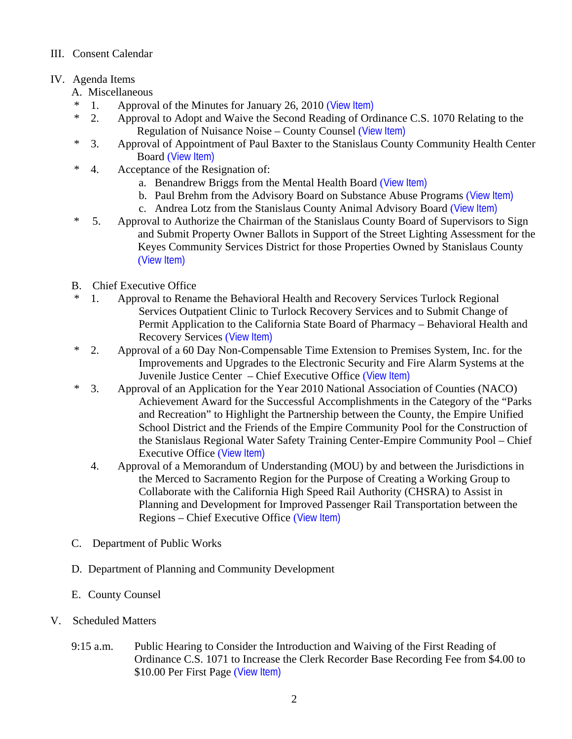## III. Consent Calendar

# IV. Agenda Items

- A. Miscellaneous
- \* 1. Approval of the Minutes for January 26, 2010 ([View Item\)](http://www.stancounty.com/bos/minutes/2010/min01-26-10.pdf)
- \* 2. Approval to Adopt and Waive the Second Reading of Ordinance C.S. 1070 Relating to the Regulation of Nuisance Noise – County Counsel ([View Item\)](http://www.stancounty.com/bos/agenda/2010/20100202/A02.pdf)
- \* 3. Approval of Appointment of Paul Baxter to the Stanislaus County Community Health Center Board ([View Item\)](http://www.stancounty.com/bos/agenda/2010/20100202/A03.pdf)
- \* 4. Acceptance of the Resignation of:
	- a. Benandrew Briggs from the Mental Health Board ([View Item\)](http://www.stancounty.com/bos/agenda/2010/20100202/A04a.pdf)
	- b. Paul Brehm from the Advisory Board on Substance Abuse Programs ([View Item\)](http://www.stancounty.com/bos/agenda/2010/20100202/A04b.pdf)
	- c. Andrea Lotz from the Stanislaus County Animal Advisory Board ([View Item\)](http://www.stancounty.com/bos/agenda/2010/20100202/A04c.pdf)
- \* 5. Approval to Authorize the Chairman of the Stanislaus County Board of Supervisors to Sign and Submit Property Owner Ballots in Support of the Street Lighting Assessment for the Keyes Community Services District for those Properties Owned by Stanislaus County ([View Item\)](http://www.stancounty.com/bos/agenda/2010/20100202/A05.pdf)
- B. Chief Executive Office
- \* 1. Approval to Rename the Behavioral Health and Recovery Services Turlock Regional Services Outpatient Clinic to Turlock Recovery Services and to Submit Change of Permit Application to the California State Board of Pharmacy – Behavioral Health and Recovery Services ([View Item\)](http://www.stancounty.com/bos/agenda/2010/20100202/B01.pdf)
- \* 2. Approval of a 60 Day Non-Compensable Time Extension to Premises System, Inc. for the Improvements and Upgrades to the Electronic Security and Fire Alarm Systems at the Juvenile Justice Center – Chief Executive Office ([View Item\)](http://www.stancounty.com/bos/agenda/2010/20100202/B02.pdf)
- \* 3. Approval of an Application for the Year 2010 National Association of Counties (NACO) Achievement Award for the Successful Accomplishments in the Category of the "Parks and Recreation" to Highlight the Partnership between the County, the Empire Unified School District and the Friends of the Empire Community Pool for the Construction of the Stanislaus Regional Water Safety Training Center-Empire Community Pool – Chief Executive Office ([View Item\)](http://www.stancounty.com/bos/agenda/2010/20100202/B03.pdf)
	- 4. Approval of a Memorandum of Understanding (MOU) by and between the Jurisdictions in the Merced to Sacramento Region for the Purpose of Creating a Working Group to Collaborate with the California High Speed Rail Authority (CHSRA) to Assist in Planning and Development for Improved Passenger Rail Transportation between the Regions – Chief Executive Office ([View Item\)](http://www.stancounty.com/bos/agenda/2010/20100202/B04.pdf)
- C. Department of Public Works
- D. Department of Planning and Community Development
- E. County Counsel
- V. Scheduled Matters
	- 9:15 a.m. Public Hearing to Consider the Introduction and Waiving of the First Reading of Ordinance C.S. 1071 to Increase the Clerk Recorder Base Recording Fee from \$4.00 to \$10.00 Per First Page ([View Item\)](http://www.stancounty.com/bos/agenda/2010/20100202/PH915.pdf)